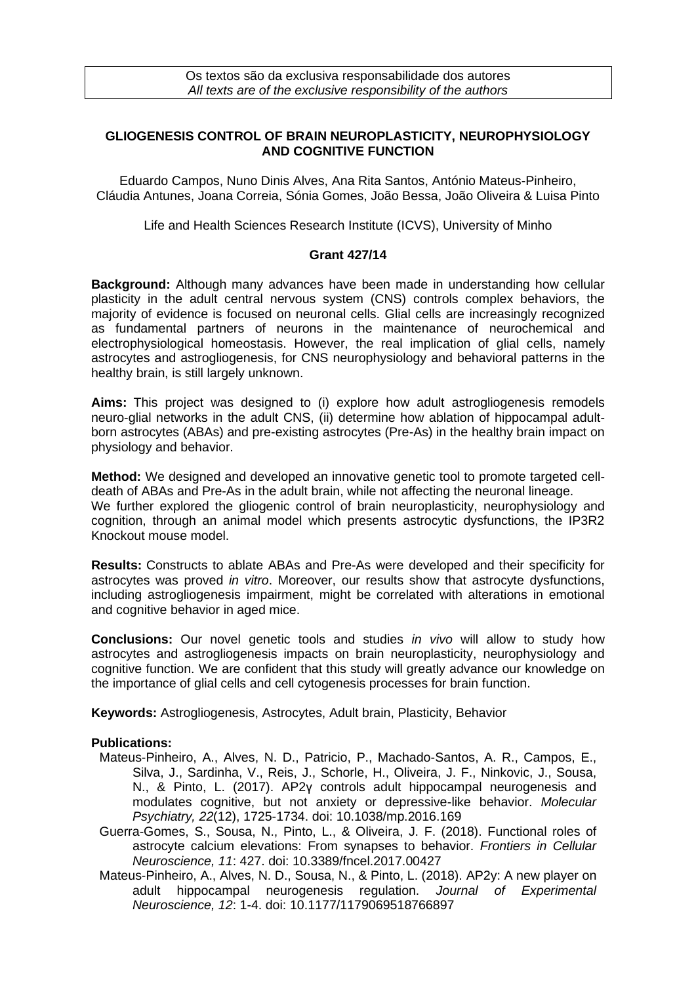## **GLIOGENESIS CONTROL OF BRAIN NEUROPLASTICITY, NEUROPHYSIOLOGY AND COGNITIVE FUNCTION**

Eduardo Campos, Nuno Dinis Alves, Ana Rita Santos, António Mateus-Pinheiro, Cláudia Antunes, Joana Correia, Sónia Gomes, João Bessa, João Oliveira & Luisa Pinto

Life and Health Sciences Research Institute (ICVS), University of Minho

## **Grant 427/14**

**Background:** Although many advances have been made in understanding how cellular plasticity in the adult central nervous system (CNS) controls complex behaviors, the majority of evidence is focused on neuronal cells. Glial cells are increasingly recognized as fundamental partners of neurons in the maintenance of neurochemical and electrophysiological homeostasis. However, the real implication of glial cells, namely astrocytes and astrogliogenesis, for CNS neurophysiology and behavioral patterns in the healthy brain, is still largely unknown.

**Aims:** This project was designed to (i) explore how adult astrogliogenesis remodels neuro-glial networks in the adult CNS, (ii) determine how ablation of hippocampal adultborn astrocytes (ABAs) and pre-existing astrocytes (Pre-As) in the healthy brain impact on physiology and behavior.

**Method:** We designed and developed an innovative genetic tool to promote targeted celldeath of ABAs and Pre-As in the adult brain, while not affecting the neuronal lineage. We further explored the gliogenic control of brain neuroplasticity, neurophysiology and cognition, through an animal model which presents astrocytic dysfunctions, the IP3R2 Knockout mouse model.

**Results:** Constructs to ablate ABAs and Pre-As were developed and their specificity for astrocytes was proved *in vitro*. Moreover, our results show that astrocyte dysfunctions, including astrogliogenesis impairment, might be correlated with alterations in emotional and cognitive behavior in aged mice.

**Conclusions:** Our novel genetic tools and studies *in vivo* will allow to study how astrocytes and astrogliogenesis impacts on brain neuroplasticity, neurophysiology and cognitive function. We are confident that this study will greatly advance our knowledge on the importance of glial cells and cell cytogenesis processes for brain function.

**Keywords:** Astrogliogenesis, Astrocytes, Adult brain, Plasticity, Behavior

## **Publications:**

- Mateus-Pinheiro, A., Alves, N. D., Patricio, P., Machado-Santos, A. R., Campos, E., Silva, J., Sardinha, V., Reis, J., Schorle, H., Oliveira, J. F., Ninkovic, J., Sousa, N., & Pinto, L. (2017). AP2γ controls adult hippocampal neurogenesis and modulates cognitive, but not anxiety or depressive-like behavior. *Molecular Psychiatry, 22*(12), 1725-1734. doi: 10.1038/mp.2016.169
- Guerra-Gomes, S., Sousa, N., Pinto, L., & Oliveira, J. F. (2018). Functional roles of astrocyte calcium elevations: From synapses to behavior. *Frontiers in Cellular Neuroscience, 11*: 427. doi: 10.3389/fncel.2017.00427
- Mateus-Pinheiro, A., Alves, N. D., Sousa, N., & Pinto, L. (2018). AP2y: A new player on adult hippocampal neurogenesis regulation. *Journal of Experimental Neuroscience, 12*: 1-4. doi: 10.1177/1179069518766897